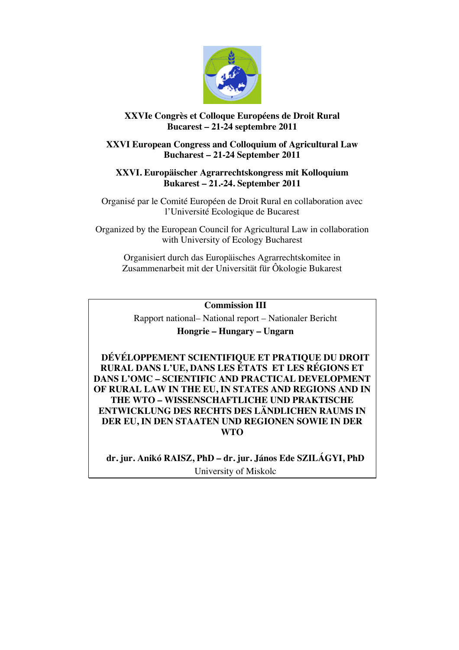

# **XXVIe Congrès et Colloque Européens de Droit Rural Bucarest – 21-24 septembre 2011**

## **XXVI European Congress and Colloquium of Agricultural Law Bucharest – 21-24 September 2011**

## **XXVI. Europäischer Agrarrechtskongress mit Kolloquium Bukarest – 21.-24. September 2011**

Organisé par le Comité Européen de Droit Rural en collaboration avec l'Université Ecologique de Bucarest

Organized by the European Council for Agricultural Law in collaboration with University of Ecology Bucharest

Organisiert durch das Europäisches Agrarrechtskomitee in Zusammenarbeit mit der Universität für Ôkologie Bukarest

**Commission III**

Rapport national– National report – Nationaler Bericht **Hongrie – Hungary – Ungarn**

**DÉVÉLOPPEMENT SCIENTIFIQUE ET PRATIQUE DU DROIT RURAL DANS L'UE, DANS LES ÉTATS ET LES RÉGIONS ET DANS L'OMC – SCIENTIFIC AND PRACTICAL DEVELOPMENT OF RURAL LAW IN THE EU, IN STATES AND REGIONS AND IN THE WTO – WISSENSCHAFTLICHE UND PRAKTISCHE ENTWICKLUNG DES RECHTS DES LÄNDLICHEN RAUMS IN DER EU, IN DEN STAATEN UND REGIONEN SOWIE IN DER WTO**

**dr. jur. Anikó RAISZ, PhD – dr. jur. János Ede SZILÁGYI, PhD** University of Miskolc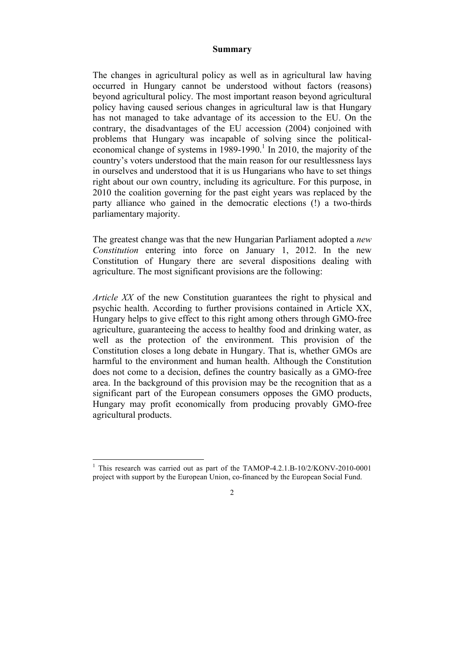### **Summary**

The changes in agricultural policy as well as in agricultural law having occurred in Hungary cannot be understood without factors (reasons) beyond agricultural policy. The most important reason beyond agricultural policy having caused serious changes in agricultural law is that Hungary has not managed to take advantage of its accession to the EU. On the contrary, the disadvantages of the EU accession (2004) conjoined with problems that Hungary was incapable of solving since the politicaleconomical change of systems in  $1989-1990$ .<sup>1</sup> In 2010, the majority of the country's voters understood that the main reason for our resultlessness lays in ourselves and understood that it is us Hungarians who have to set things right about our own country, including its agriculture. For this purpose, in 2010 the coalition governing for the past eight years was replaced by the party alliance who gained in the democratic elections (!) a two-thirds parliamentary majority.

The greatest change was that the new Hungarian Parliament adopted a *new Constitution* entering into force on January 1, 2012. In the new Constitution of Hungary there are several dispositions dealing with agriculture. The most significant provisions are the following:

*Article XX* of the new Constitution guarantees the right to physical and psychic health. According to further provisions contained in Article XX, Hungary helps to give effect to this right among others through GMO-free agriculture, guaranteeing the access to healthy food and drinking water, as well as the protection of the environment. This provision of the Constitution closes a long debate in Hungary. That is, whether GMOs are harmful to the environment and human health. Although the Constitution does not come to a decision, defines the country basically as a GMO-free area. In the background of this provision may be the recognition that as a significant part of the European consumers opposes the GMO products, Hungary may profit economically from producing provably GMO-free agricultural products.

<sup>|&</sup>lt;br>|<br>| <sup>1</sup> This research was carried out as part of the TAMOP-4.2.1.B-10/2/KONV-2010-0001 project with support by the European Union, co-financed by the European Social Fund.

 $\gamma$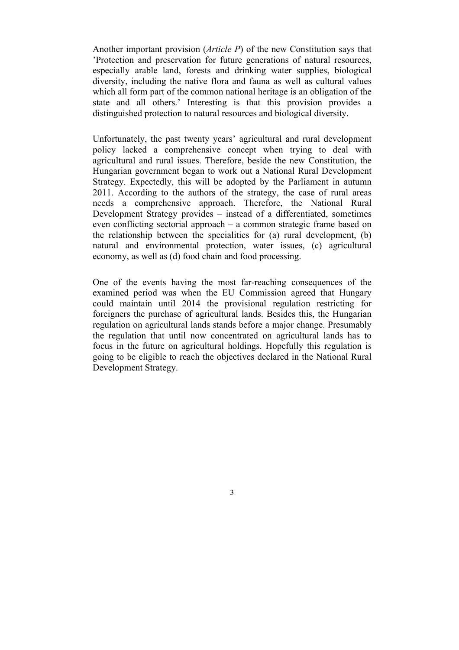Another important provision (*Article P*) of the new Constitution says that 'Protection and preservation for future generations of natural resources, especially arable land, forests and drinking water supplies, biological diversity, including the native flora and fauna as well as cultural values which all form part of the common national heritage is an obligation of the state and all others.' Interesting is that this provision provides a distinguished protection to natural resources and biological diversity.

Unfortunately, the past twenty years' agricultural and rural development policy lacked a comprehensive concept when trying to deal with agricultural and rural issues. Therefore, beside the new Constitution, the Hungarian government began to work out a National Rural Development Strategy. Expectedly, this will be adopted by the Parliament in autumn 2011. According to the authors of the strategy, the case of rural areas needs a comprehensive approach. Therefore, the National Rural Development Strategy provides – instead of a differentiated, sometimes even conflicting sectorial approach – a common strategic frame based on the relationship between the specialities for (a) rural development, (b) natural and environmental protection, water issues, (c) agricultural economy, as well as (d) food chain and food processing.

One of the events having the most far-reaching consequences of the examined period was when the EU Commission agreed that Hungary could maintain until 2014 the provisional regulation restricting for foreigners the purchase of agricultural lands. Besides this, the Hungarian regulation on agricultural lands stands before a major change. Presumably the regulation that until now concentrated on agricultural lands has to focus in the future on agricultural holdings. Hopefully this regulation is going to be eligible to reach the objectives declared in the National Rural Development Strategy.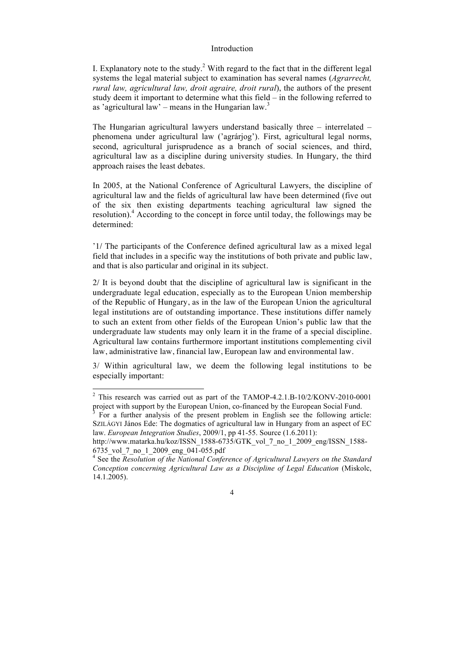#### Introduction

I. Explanatory note to the study.<sup>2</sup> With regard to the fact that in the different legal systems the legal material subject to examination has several names (*Agrarrecht, rural law, agricultural law, droit agraire, droit rural*), the authors of the present study deem it important to determine what this field – in the following referred to as 'agricultural law' – means in the Hungarian law.<sup>3</sup>

The Hungarian agricultural lawyers understand basically three – interrelated – phenomena under agricultural law ('agrárjog'). First, agricultural legal norms, second, agricultural jurisprudence as a branch of social sciences, and third, agricultural law as a discipline during university studies. In Hungary, the third approach raises the least debates.

In 2005, at the National Conference of Agricultural Lawyers, the discipline of agricultural law and the fields of agricultural law have been determined (five out of the six then existing departments teaching agricultural law signed the resolution).<sup>4</sup> According to the concept in force until today, the followings may be determined:

'1/ The participants of the Conference defined agricultural law as a mixed legal field that includes in a specific way the institutions of both private and public law, and that is also particular and original in its subject.

2/ It is beyond doubt that the discipline of agricultural law is significant in the undergraduate legal education, especially as to the European Union membership of the Republic of Hungary, as in the law of the European Union the agricultural legal institutions are of outstanding importance. These institutions differ namely to such an extent from other fields of the European Union's public law that the undergraduate law students may only learn it in the frame of a special discipline. Agricultural law contains furthermore important institutions complementing civil law, administrative law, financial law, European law and environmental law.

3/ Within agricultural law, we deem the following legal institutions to be especially important:

 $\frac{1}{2}$  $2$  This research was carried out as part of the TAMOP-4.2.1.B-10/2/KONV-2010-0001 project with support by the European Union, co-financed by the European Social Fund. <sup>3</sup>

For a further analysis of the present problem in English see the following article: SZILÁGYI János Ede: The dogmatics of agricultural law in Hungary from an aspect of EC law. *European Integration Studies*, 2009/1, pp 41-55. Source (1.6.2011):

http://www.matarka.hu/koz/ISSN\_1588-6735/GTK\_vol\_7\_no\_1\_2009\_eng/ISSN\_1588- 6735\_vol\_7\_no\_1\_2009\_eng\_041-055.pdf <sup>4</sup>

<sup>&</sup>lt;sup>4</sup> See the *Resolution of the National Conference of Agricultural Lawyers on the Standard Conception concerning Agricultural Law as a Discipline of Legal Education* (Miskolc, 14.1.2005).

<sup>4</sup>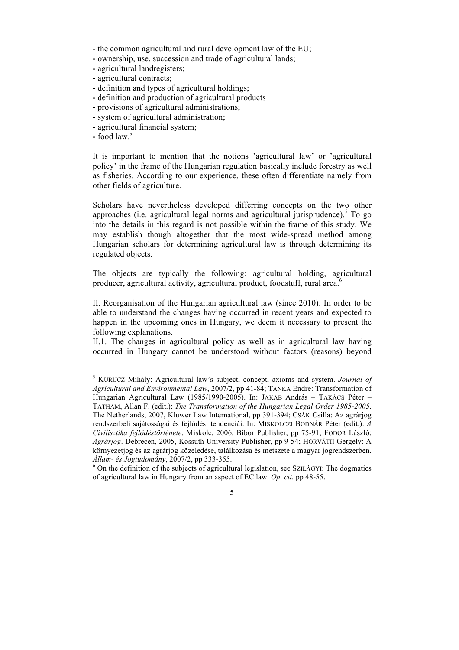**-** the common agricultural and rural development law of the EU;

- **-** ownership, use, succession and trade of agricultural lands;
- **-** agricultural landregisters;
- **-** agricultural contracts;
- **-** definition and types of agricultural holdings;
- **-** definition and production of agricultural products
- **-** provisions of agricultural administrations;
- **-** system of agricultural administration;
- **-** agricultural financial system;
- **-** food law.'

It is important to mention that the notions 'agricultural law' or 'agricultural policy' in the frame of the Hungarian regulation basically include forestry as well as fisheries. According to our experience, these often differentiate namely from other fields of agriculture.

Scholars have nevertheless developed differring concepts on the two other approaches (i.e. agricultural legal norms and agricultural jurisprudence).<sup>5</sup> To go into the details in this regard is not possible within the frame of this study. We may establish though altogether that the most wide-spread method among Hungarian scholars for determining agricultural law is through determining its regulated objects.

The objects are typically the following: agricultural holding, agricultural producer, agricultural activity, agricultural product, foodstuff, rural area.6

II. Reorganisation of the Hungarian agricultural law (since 2010): In order to be able to understand the changes having occurred in recent years and expected to happen in the upcoming ones in Hungary, we deem it necessary to present the following explanations.

II.1. The changes in agricultural policy as well as in agricultural law having occurred in Hungary cannot be understood without factors (reasons) beyond

<sup>5</sup> KURUCZ Mihály: Agricultural law's subject, concept, axioms and system. *Journal of Agricultural and Environmental Law*, 2007/2, pp 41-84; TANKA Endre: Transformation of Hungarian Agricultural Law (1985/1990-2005). In: JAKAB András – TAKÁCS Péter – TATHAM, Allan F. (edit.): *The Transformation of the Hungarian Legal Order 1985-2005*. The Netherlands, 2007, Kluwer Law International, pp 391-394; CSÁK Csilla: Az agrárjog rendszerbeli sajátosságai és fejlődési tendenciái. In: MISKOLCZI BODNÁR Péter (edit.): *A Civilisztika fejlődéstörténete*. Miskolc, 2006, Bíbor Publisher, pp 75-91; FODOR László: *Agrárjog*. Debrecen, 2005, Kossuth University Publisher, pp 9-54; HORVÁTH Gergely: A környezetjog és az agrárjog közeledése, találkozása és metszete a magyar jogrendszerben. *Állam- és Jogtudomány*, 2007/2, pp 333-355. <sup>6</sup>

 $6$  On the definition of the subjects of agricultural legislation, see SZILÁGYI: The dogmatics of agricultural law in Hungary from an aspect of EC law. *Op. cit.* pp 48-55.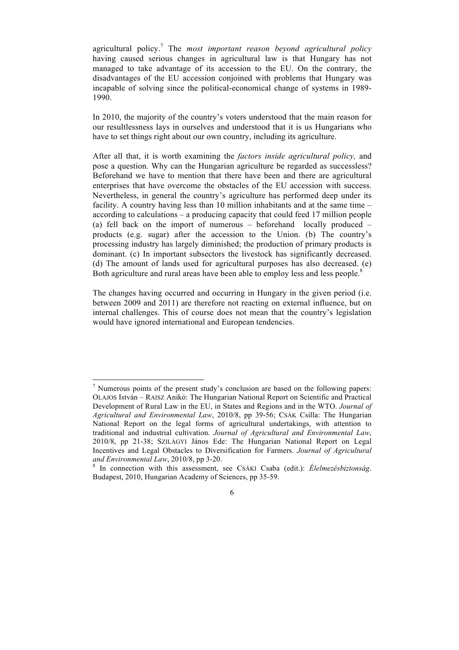agricultural policy.7 The *most important reason beyond agricultural policy* having caused serious changes in agricultural law is that Hungary has not managed to take advantage of its accession to the EU. On the contrary, the disadvantages of the EU accession conjoined with problems that Hungary was incapable of solving since the political-economical change of systems in 1989- 1990.

In 2010, the majority of the country's voters understood that the main reason for our resultlessness lays in ourselves and understood that it is us Hungarians who have to set things right about our own country, including its agriculture.

After all that, it is worth examining the *factors inside agricultural policy,* and pose a question. Why can the Hungarian agriculture be regarded as successless? Beforehand we have to mention that there have been and there are agricultural enterprises that have overcome the obstacles of the EU accession with success. Nevertheless, in general the country's agriculture has performed deep under its facility. A country having less than 10 million inhabitants and at the same time – according to calculations – a producing capacity that could feed 17 million people (a) fell back on the import of numerous – beforehand locally produced – products (e.g. sugar) after the accession to the Union. (b) The country's processing industry has largely diminished; the production of primary products is dominant. (c) In important subsectors the livestock has significantly decreased. (d) The amount of lands used for agricultural purposes has also decreased. (e) Both agriculture and rural areas have been able to employ less and less people.<sup>8</sup>

The changes having occurred and occurring in Hungary in the given period (i.e. between 2009 and 2011) are therefore not reacting on external influence, but on internal challenges. This of course does not mean that the country's legislation would have ignored international and European tendencies.

7  $\frac{1}{2}$  Numerous points of the present study's conclusion are based on the following papers: OLAJOS István – RAISZ Anikó: The Hungarian National Report on Scientific and Practical Development of Rural Law in the EU, in States and Regions and in the WTO. *Journal of Agricultural and Environmental Law*, 2010/8, pp 39-56; CSÁK Csilla: The Hungarian National Report on the legal forms of agricultural undertakings, with attention to traditional and industrial cultivation. *Journal of Agricultural and Environmental Law*, 2010/8, pp 21-38; SZILÁGYI János Ede: The Hungarian National Report on Legal Incentives and Legal Obstacles to Diversification for Farmers. *Journal of Agricultural and Environmental Law*, 2010/8, pp 3-20.

In connection with this assessment, see CSÁKI Csaba (edit.): *Élelmezésbiztonság*. Budapest, 2010, Hungarian Academy of Sciences, pp 35-59.

<sup>6</sup>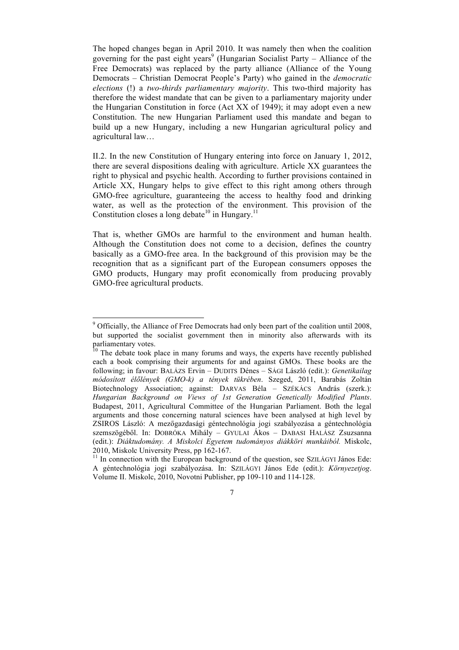The hoped changes began in April 2010. It was namely then when the coalition governing for the past eight years<sup>9</sup> (Hungarian Socialist Party – Alliance of the Free Democrats) was replaced by the party alliance (Alliance of the Young Democrats – Christian Democrat People's Party) who gained in the *democratic elections* (!) a *two-thirds parliamentary majority*. This two-third majority has therefore the widest mandate that can be given to a parliamentary majority under the Hungarian Constitution in force (Act XX of 1949); it may adopt even a new Constitution. The new Hungarian Parliament used this mandate and began to build up a new Hungary, including a new Hungarian agricultural policy and agricultural law…

II.2. In the new Constitution of Hungary entering into force on January 1, 2012, there are several dispositions dealing with agriculture. Article XX guarantees the right to physical and psychic health. According to further provisions contained in Article XX, Hungary helps to give effect to this right among others through GMO-free agriculture, guaranteeing the access to healthy food and drinking water, as well as the protection of the environment. This provision of the Constitution closes a long debate<sup>10</sup> in Hungary.<sup>11</sup>

That is, whether GMOs are harmful to the environment and human health. Although the Constitution does not come to a decision, defines the country basically as a GMO-free area. In the background of this provision may be the recognition that as a significant part of the European consumers opposes the GMO products, Hungary may profit economically from producing provably GMO-free agricultural products.

<sup>-&</sup>lt;br>9 Officially, the Alliance of Free Democrats had only been part of the coalition until 2008, but supported the socialist government then in minority also afterwards with its parliamentary votes.

 $10$  The debate took place in many forums and ways, the experts have recently published each a book comprising their arguments for and against GMOs. These books are the following; in favour: BALÁZS Ervin – DUDITS Dénes – SÁGI László (edit.): *Genetikailag módosított élőlények (GMO-k) a tények tükrében*. Szeged, 2011, Barabás Zoltán Biotechnology Association; against: DARVAS Béla – SZÉKÁCS András (szerk.): *Hungarian Background on Views of 1st Generation Genetically Modified Plants*. Budapest, 2011, Agricultural Committee of the Hungarian Parliament. Both the legal arguments and those concerning natural sciences have been analysed at high level by ZSIROS László: A mezőgazdasági géntechnológia jogi szabályozása a géntechnológia szemszögéből. In: DOBRÓKA Mihály – GYULAI Ákos – DABASI HALÁSZ Zsuzsanna (edit.): *Diáktudomány. A Miskolci Egyetem tudományos diákköri munkáiból.* Miskolc, 2010, Miskolc University Press, pp 162-167.<br><sup>11</sup> In connection with the European background of the question, see SZILÁGYI János Ede:

A géntechnológia jogi szabályozása. In: SZILÁGYI János Ede (edit.): *Környezetjog*. Volume II. Miskolc, 2010, Novotni Publisher, pp 109-110 and 114-128.

<sup>7</sup>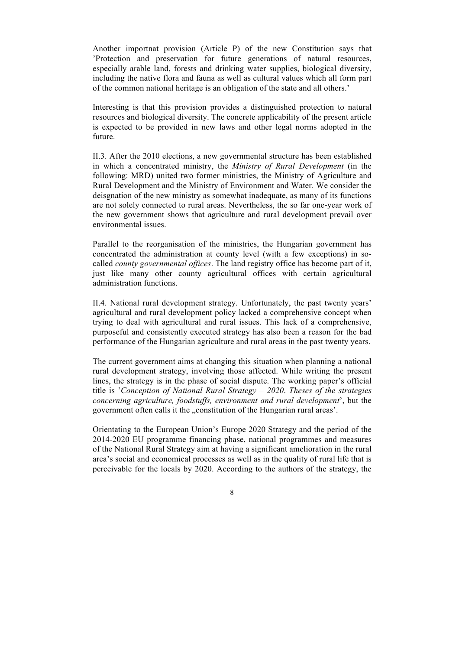Another importnat provision (Article P) of the new Constitution says that 'Protection and preservation for future generations of natural resources, especially arable land, forests and drinking water supplies, biological diversity, including the native flora and fauna as well as cultural values which all form part of the common national heritage is an obligation of the state and all others.'

Interesting is that this provision provides a distinguished protection to natural resources and biological diversity. The concrete applicability of the present article is expected to be provided in new laws and other legal norms adopted in the future.

II.3. After the 2010 elections, a new governmental structure has been established in which a concentrated ministry, the *Ministry of Rural Development* (in the following: MRD) united two former ministries, the Ministry of Agriculture and Rural Development and the Ministry of Environment and Water. We consider the deisgnation of the new ministry as somewhat inadequate, as many of its functions are not solely connected to rural areas. Nevertheless, the so far one-year work of the new government shows that agriculture and rural development prevail over environmental issues.

Parallel to the reorganisation of the ministries, the Hungarian government has concentrated the administration at county level (with a few exceptions) in socalled *county governmental offices*. The land registry office has become part of it, just like many other county agricultural offices with certain agricultural administration functions.

II.4. National rural development strategy. Unfortunately, the past twenty years' agricultural and rural development policy lacked a comprehensive concept when trying to deal with agricultural and rural issues. This lack of a comprehensive, purposeful and consistently executed strategy has also been a reason for the bad performance of the Hungarian agriculture and rural areas in the past twenty years.

The current government aims at changing this situation when planning a national rural development strategy, involving those affected. While writing the present lines, the strategy is in the phase of social dispute. The working paper's official title is '*Conception of National Rural Strategy – 2020*. *Theses of the strategies concerning agriculture, foodstuffs, environment and rural development*', but the government often calls it the "constitution of the Hungarian rural areas'.

Orientating to the European Union's Europe 2020 Strategy and the period of the 2014-2020 EU programme financing phase, national programmes and measures of the National Rural Strategy aim at having a significant amelioration in the rural area's social and economical processes as well as in the quality of rural life that is perceivable for the locals by 2020. According to the authors of the strategy, the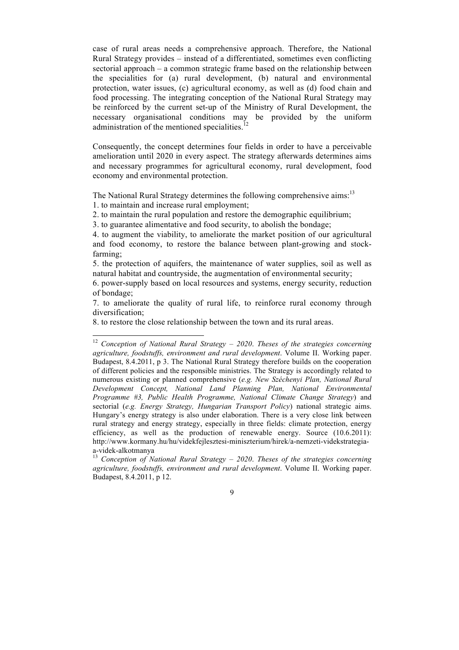case of rural areas needs a comprehensive approach. Therefore, the National Rural Strategy provides – instead of a differentiated, sometimes even conflicting sectorial approach – a common strategic frame based on the relationship between the specialities for (a) rural development, (b) natural and environmental protection, water issues, (c) agricultural economy, as well as (d) food chain and food processing. The integrating conception of the National Rural Strategy may be reinforced by the current set-up of the Ministry of Rural Development, the necessary organisational conditions may be provided by the uniform administration of the mentioned specialities.

Consequently, the concept determines four fields in order to have a perceivable amelioration until 2020 in every aspect. The strategy afterwards determines aims and necessary programmes for agricultural economy, rural development, food economy and environmental protection.

The National Rural Strategy determines the following comprehensive aims:<sup>13</sup>

1. to maintain and increase rural employment;

2. to maintain the rural population and restore the demographic equilibrium;

3. to guarantee alimentative and food security, to abolish the bondage;

4. to augment the viability, to ameliorate the market position of our agricultural and food economy, to restore the balance between plant-growing and stockfarming;

5. the protection of aquifers, the maintenance of water supplies, soil as well as natural habitat and countryside, the augmentation of environmental security;

6. power-supply based on local resources and systems, energy security, reduction of bondage;

7. to ameliorate the quality of rural life, to reinforce rural economy through diversification;

8. to restore the close relationship between the town and its rural areas.

<sup>12</sup> *Conception of National Rural Strategy – 2020*. *Theses of the strategies concerning agriculture, foodstuffs, environment and rural development*. Volume II. Working paper. Budapest, 8.4.2011, p 3. The National Rural Strategy therefore builds on the cooperation of different policies and the responsible ministries. The Strategy is accordingly related to numerous existing or planned comprehensive (*e.g. New Széchenyi Plan, National Rural Development Concept, National Land Planning Plan, National Environmental Programme #3, Public Health Programme, National Climate Change Strategy*) and sectorial (*e.g. Energy Strategy, Hungarian Transport Policy*) national strategic aims. Hungary's energy strategy is also under elaboration. There is a very close link between rural strategy and energy strategy, especially in three fields: climate protection, energy efficiency, as well as the production of renewable energy. Source (10.6.2011): http://www.kormany.hu/hu/videkfejlesztesi-miniszterium/hirek/a-nemzeti-videkstrategiaa-videk-alkotmanya 13 *Conception of National Rural Strategy – 2020*. *Theses of the strategies concerning* 

*agriculture, foodstuffs, environment and rural development*. Volume II. Working paper. Budapest, 8.4.2011, p 12.

 $\overline{Q}$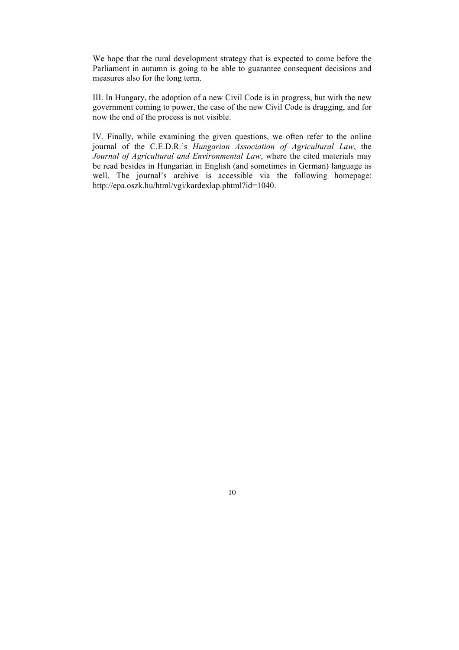We hope that the rural development strategy that is expected to come before the Parliament in autumn is going to be able to guarantee consequent decisions and measures also for the long term.

III. In Hungary, the adoption of a new Civil Code is in progress, but with the new government coming to power, the case of the new Civil Code is dragging, and for now the end of the process is not visible.

IV. Finally, while examining the given questions, we often refer to the online journal of the C.E.D.R.'s *Hungarian Association of Agricultural Law*, the *Journal of Agricultural and Environmental Law*, where the cited materials may be read besides in Hungarian in English (and sometimes in German) language as well. The journal's archive is accessible via the following homepage: http://epa.oszk.hu/html/vgi/kardexlap.phtml?id=1040.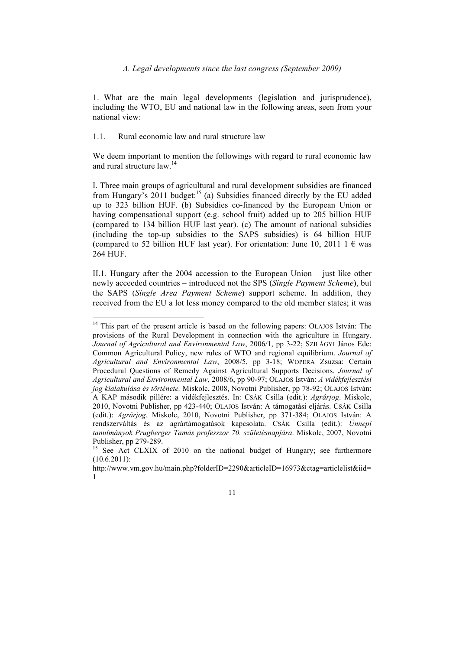1. What are the main legal developments (legislation and jurisprudence), including the WTO, EU and national law in the following areas, seen from your national view:

1.1. Rural economic law and rural structure law

We deem important to mention the followings with regard to rural economic law and rural structure law.<sup>14</sup>

I. Three main groups of agricultural and rural development subsidies are financed from Hungary's  $2011$  budget:<sup>15</sup> (a) Subsidies financed directly by the EU added up to 323 billion HUF. (b) Subsidies co-financed by the European Union or having compensational support (e.g. school fruit) added up to 205 billion HUF (compared to 134 billion HUF last year). (c) The amount of national subsidies (including the top-up subsidies to the SAPS subsidies) is 64 billion HUF (compared to 52 billion HUF last year). For orientation: June 10, 2011 1  $\epsilon$  was 264 HUF.

II.1. Hungary after the 2004 accession to the European Union – just like other newly acceeded countries – introduced not the SPS (*Single Payment Scheme*), but the SAPS (*Single Area Payment Scheme*) support scheme. In addition, they received from the EU a lot less money compared to the old member states; it was

<sup>&</sup>lt;sup>14</sup> This part of the present article is based on the following papers: OLAJOS István: The provisions of the Rural Development in connection with the agriculture in Hungary. *Journal of Agricultural and Environmental Law*, 2006/1, pp 3-22; SZILÁGYI János Ede: Common Agricultural Policy, new rules of WTO and regional equilibrium. *Journal of Agricultural and Environmental Law*, 2008/5, pp 3-18; WOPERA Zsuzsa: Certain Procedural Questions of Remedy Against Agricultural Supports Decisions. *Journal of Agricultural and Environmental Law*, 2008/6, pp 90-97; OLAJOS István: *A vidékfejlesztési jog kialakulása és története.* Miskolc, 2008, Novotni Publisher, pp 78-92; OLAJOS István: A KAP második pillére: a vidékfejlesztés. In: CSÁK Csilla (edit.): *Agrárjog*. Miskolc, 2010, Novotni Publisher, pp 423-440; OLAJOS István: A támogatási eljárás. CSÁK Csilla (edit.): *Agrárjog*. Miskolc, 2010, Novotni Publisher, pp 371-384; OLAJOS István: A rendszerváltás és az agrártámogatások kapcsolata. CSÁK Csilla (edit.): *Ünnepi tanulmányok Prugberger Tamás professzor 70. születésnapjára*. Miskolc, 2007, Novotni

Publisher, pp 279-289.<br><sup>15</sup> See Act CLXIX of 2010 on the national budget of Hungary; see furthermore (10.6.2011):

http://www.vm.gov.hu/main.php?folderID=2290&articleID=16973&ctag=articlelist&iid= 1

<sup>11</sup>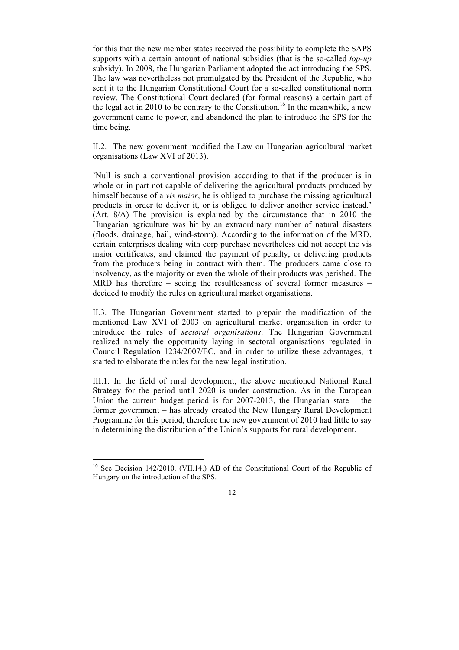for this that the new member states received the possibility to complete the SAPS supports with a certain amount of national subsidies (that is the so-called *top-up* subsidy). In 2008, the Hungarian Parliament adopted the act introducing the SPS. The law was nevertheless not promulgated by the President of the Republic, who sent it to the Hungarian Constitutional Court for a so-called constitutional norm review. The Constitutional Court declared (for formal reasons) a certain part of the legal act in 2010 to be contrary to the Constitution.<sup>16</sup> In the meanwhile, a new government came to power, and abandoned the plan to introduce the SPS for the time being.

II.2. The new government modified the Law on Hungarian agricultural market organisations (Law XVI of 2013).

'Null is such a conventional provision according to that if the producer is in whole or in part not capable of delivering the agricultural products produced by himself because of a *vis maior*, he is obliged to purchase the missing agricultural products in order to deliver it, or is obliged to deliver another service instead.' (Art. 8/A) The provision is explained by the circumstance that in 2010 the Hungarian agriculture was hit by an extraordinary number of natural disasters (floods, drainage, hail, wind-storm). According to the information of the MRD, certain enterprises dealing with corp purchase nevertheless did not accept the vis maior certificates, and claimed the payment of penalty, or delivering products from the producers being in contract with them. The producers came close to insolvency, as the majority or even the whole of their products was perished. The MRD has therefore – seeing the resultlessness of several former measures – decided to modify the rules on agricultural market organisations.

II.3. The Hungarian Government started to prepair the modification of the mentioned Law XVI of 2003 on agricultural market organisation in order to introduce the rules of *sectoral organisations*. The Hungarian Government realized namely the opportunity laying in sectoral organisations regulated in Council Regulation 1234/2007/EC, and in order to utilize these advantages, it started to elaborate the rules for the new legal institution.

III.1. In the field of rural development, the above mentioned National Rural Strategy for the period until 2020 is under construction. As in the European Union the current budget period is for  $2007-2013$ , the Hungarian state – the former government – has already created the New Hungary Rural Development Programme for this period, therefore the new government of 2010 had little to say in determining the distribution of the Union's supports for rural development.

<sup>&</sup>lt;sup>16</sup> See Decision 142/2010. (VII.14.) AB of the Constitutional Court of the Republic of Hungary on the introduction of the SPS.

<sup>12</sup>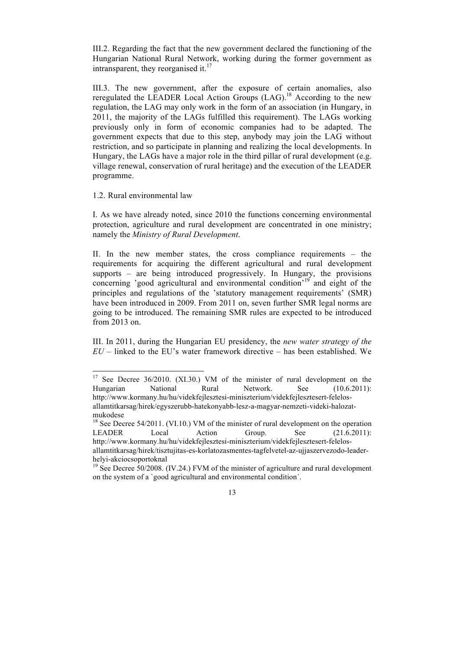III.2. Regarding the fact that the new government declared the functioning of the Hungarian National Rural Network, working during the former government as intransparent, they reorganised it. $^{17}$ 

III.3. The new government, after the exposure of certain anomalies, also reregulated the LEADER Local Action Groups (LAG).<sup>18</sup> According to the new regulation, the LAG may only work in the form of an association (in Hungary, in 2011, the majority of the LAGs fulfilled this requirement). The LAGs working previously only in form of economic companies had to be adapted. The government expects that due to this step, anybody may join the LAG without restriction, and so participate in planning and realizing the local developments. In Hungary, the LAGs have a major role in the third pillar of rural development (e.g. village renewal, conservation of rural heritage) and the execution of the LEADER programme.

1.2. Rural environmental law

I. As we have already noted, since 2010 the functions concerning environmental protection, agriculture and rural development are concentrated in one ministry; namely the *Ministry of Rural Development*.

II. In the new member states, the cross compliance requirements – the requirements for acquiring the different agricultural and rural development supports – are being introduced progressively. In Hungary, the provisions concerning 'good agricultural and environmental condition'19 and eight of the principles and regulations of the 'statutory management requirements' (SMR) have been introduced in 2009. From 2011 on, seven further SMR legal norms are going to be introduced. The remaining SMR rules are expected to be introduced from 2013 on.

III. In 2011, during the Hungarian EU presidency, the *new water strategy of the*   $EU$  – linked to the EU's water framework directive – has been established. We

<sup>&</sup>lt;sup>17</sup> See Decree 36/2010. (XI.30.) VM of the minister of rural development on the Hungarian National Rural Network. See (10.6.2011): http://www.kormany.hu/hu/videkfejlesztesi-miniszterium/videkfejlesztesert-felelosallamtitkarsag/hirek/egyszerubb-hatekonyabb-lesz-a-magyar-nemzeti-videki-halozatmukodese

<sup>&</sup>lt;sup>18</sup> See Decree 54/2011. (VI.10.) VM of the minister of rural development on the operation LEADER Local Action Group. See (21.6.2011): http://www.kormany.hu/hu/videkfejlesztesi-miniszterium/videkfejlesztesert-felelosallamtitkarsag/hirek/tisztujitas-es-korlatozasmentes-tagfelvetel-az-ujjaszervezodo-leader-

helyi-akciocsoportoknal<br><sup>19</sup> See Decree 50/2008. (IV.24.) FVM of the minister of agriculture and rural development on the system of a `good agricultural and environmental condition´.

<sup>13</sup>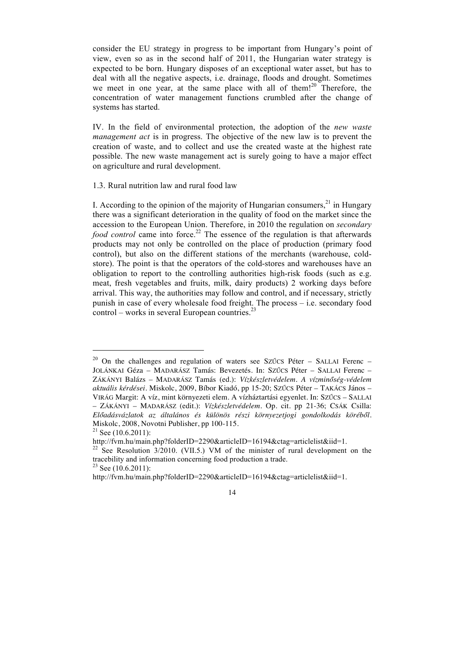consider the EU strategy in progress to be important from Hungary's point of view, even so as in the second half of 2011, the Hungarian water strategy is expected to be born. Hungary disposes of an exceptional water asset, but has to deal with all the negative aspects, i.e. drainage, floods and drought. Sometimes we meet in one year, at the same place with all of them!<sup>20</sup> Therefore, the concentration of water management functions crumbled after the change of systems has started.

IV. In the field of environmental protection, the adoption of the *new waste management act* is in progress. The objective of the new law is to prevent the creation of waste, and to collect and use the created waste at the highest rate possible. The new waste management act is surely going to have a major effect on agriculture and rural development.

1.3. Rural nutrition law and rural food law

I. According to the opinion of the majority of Hungarian consumers, $^{21}$  in Hungary there was a significant deterioration in the quality of food on the market since the accession to the European Union. Therefore, in 2010 the regulation on *secondary food control* came into force.<sup>22</sup> The essence of the regulation is that afterwards products may not only be controlled on the place of production (primary food control), but also on the different stations of the merchants (warehouse, coldstore). The point is that the operators of the cold-stores and warehouses have an obligation to report to the controlling authorities high-risk foods (such as e.g. meat, fresh vegetables and fruits, milk, dairy products) 2 working days before arrival. This way, the authorities may follow and control, and if necessary, strictly punish in case of every wholesale food freight. The process – i.e. secondary food  $control - works$  in several European countries.<sup>23</sup>

 $\overline{a}$ 

 $20$  On the challenges and regulation of waters see SZŰCS Péter – SALLAI Ferenc – JOLÁNKAI Géza – MADARÁSZ Tamás: Bevezetés. In: SZŰCS Péter – SALLAI Ferenc – ZÁKÁNYI Balázs – MADARÁSZ Tamás (ed.): *Vízkészletvédelem. A vízminőség-védelem aktuális kérdései*. Miskolc, 2009, Bíbor Kiadó, pp 15-20; SZŰCS Péter – TAKÁCS János – VIRÁG Margit: A víz, mint környezeti elem. A vízháztartási egyenlet. In: SZŰCS – SALLAI – ZÁKÁNYI – MADARÁSZ (edit.): *Vízkészletvédelem.* Op. cit. pp 21-36; CSÁK Csilla:

*Előadásvázlatok az általános és különös részi környezetjogi gondolkodás köréből*. Miskolc, 2008, Novotni Publisher, pp 100-115.<br><sup>21</sup> See (10.6.2011):

http://fvm.hu/main.php?folderID=2290&articleID=16194&ctag=articlelist&iid=1.

 $22$  See Resolution  $3/2010$ . (VII.5.) VM of the minister of rural development on the tracebility and information concerning food production a trade.

 $23$  See (10.6.2011):

http://fvm.hu/main.php?folderID=2290&articleID=16194&ctag=articlelist&iid=1.

<sup>14</sup>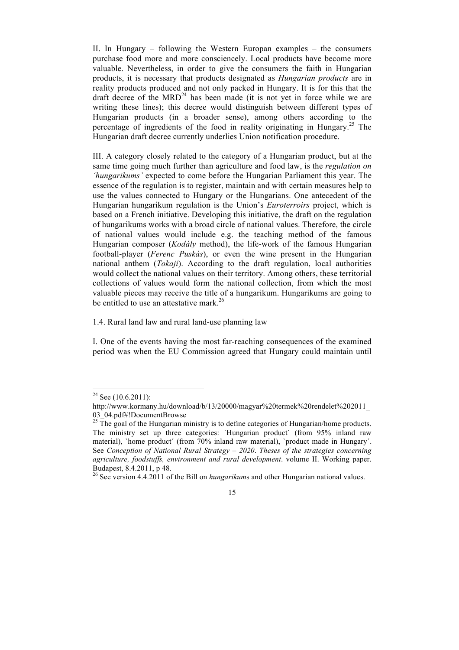II. In Hungary – following the Western Europan examples – the consumers purchase food more and more consciencely. Local products have become more valuable. Nevertheless, in order to give the consumers the faith in Hungarian products, it is necessary that products designated as *Hungarian products* are in reality products produced and not only packed in Hungary. It is for this that the draft decree of the  $MRD<sup>24</sup>$  has been made (it is not yet in force while we are writing these lines); this decree would distinguish between different types of Hungarian products (in a broader sense), among others according to the percentage of ingredients of the food in reality originating in Hungary.<sup>25</sup> The Hungarian draft decree currently underlies Union notification procedure.

III. A category closely related to the category of a Hungarian product, but at the same time going much further than agriculture and food law, is the *regulation on 'hungarikums'* expected to come before the Hungarian Parliament this year. The essence of the regulation is to register, maintain and with certain measures help to use the values connected to Hungary or the Hungarians. One antecedent of the Hungarian hungarikum regulation is the Union's *Euroterroirs* project, which is based on a French initiative. Developing this initiative, the draft on the regulation of hungarikums works with a broad circle of national values. Therefore, the circle of national values would include e.g. the teaching method of the famous Hungarian composer (*Kodály* method), the life-work of the famous Hungarian football-player (*Ferenc Puskás*), or even the wine present in the Hungarian national anthem (*Tokaji*). According to the draft regulation, local authorities would collect the national values on their territory. Among others, these territorial collections of values would form the national collection, from which the most valuable pieces may receive the title of a hungarikum. Hungarikums are going to be entitled to use an attestative mark.<sup>26</sup>

1.4. Rural land law and rural land-use planning law

I. One of the events having the most far-reaching consequences of the examined period was when the EU Commission agreed that Hungary could maintain until

<sup>&</sup>lt;sup>24</sup> See (10.6.2011):

http://www.kormany.hu/download/b/13/20000/magyar%20termek%20rendelet%202011\_ 03\_04.pdf#!DocumentBrowse

 $25$  The goal of the Hungarian ministry is to define categories of Hungarian/home products. The ministry set up three categories: `Hungarian product´ (from 95% inland raw material), `home product´ (from 70% inland raw material), `product made in Hungary´. See *Conception of National Rural Strategy – 2020*. *Theses of the strategies concerning agriculture, foodstuffs, environment and rural development*. volume II. Working paper. Budapest, 8.4.2011, p 48.

<sup>&</sup>lt;sup>26</sup> See version 4.4.2011 of the Bill on *hungarikums* and other Hungarian national values.

<sup>15</sup>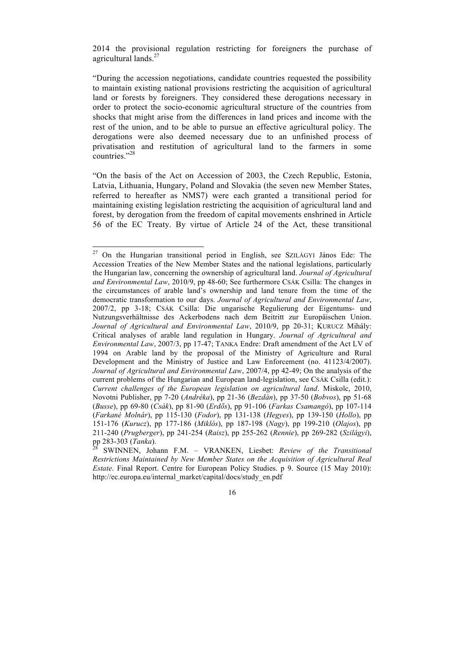2014 the provisional regulation restricting for foreigners the purchase of agricultural lands.<sup>27</sup>

"During the accession negotiations, candidate countries requested the possibility to maintain existing national provisions restricting the acquisition of agricultural land or forests by foreigners. They considered these derogations necessary in order to protect the socio-economic agricultural structure of the countries from shocks that might arise from the differences in land prices and income with the rest of the union, and to be able to pursue an effective agricultural policy. The derogations were also deemed necessary due to an unfinished process of privatisation and restitution of agricultural land to the farmers in some countries."<sup>28</sup>

"On the basis of the Act on Accession of 2003, the Czech Republic, Estonia, Latvia, Lithuania, Hungary, Poland and Slovakia (the seven new Member States, referred to hereafter as NMS7) were each granted a transitional period for maintaining existing legislation restricting the acquisition of agricultural land and forest, by derogation from the freedom of capital movements enshrined in Article 56 of the EC Treaty. By virtue of Article 24 of the Act, these transitional

27 On the Hungarian transitional period in English, see SZILÁGYI János Ede: The Accession Treaties of the New Member States and the national legislations, particularly the Hungarian law, concerning the ownership of agricultural land. *Journal of Agricultural and Environmental Law*, 2010/9, pp 48-60; See furthermore CSÁK Csilla: The changes in the circumstances of arable land's ownership and land tenure from the time of the democratic transformation to our days. *Journal of Agricultural and Environmental Law*, 2007/2, pp 3-18; CSÁK Csilla: Die ungarische Regulierung der Eigentums- und Nutzungsverhältnisse des Ackerbodens nach dem Beitritt zur Europäischen Union. *Journal of Agricultural and Environmental Law*, 2010/9, pp 20-31; KURUCZ Mihály: Critical analyses of arable land regulation in Hungary. *Journal of Agricultural and Environmental Law*, 2007/3, pp 17-47; TANKA Endre: Draft amendment of the Act LV of 1994 on Arable land by the proposal of the Ministry of Agriculture and Rural Development and the Ministry of Justice and Law Enforcement (no. 41123/4/2007). *Journal of Agricultural and Environmental Law*, 2007/4, pp 42-49; On the analysis of the current problems of the Hungarian and European land-legislation, see CSÁK Csilla (edit.): *Current challenges of the European legislation on agricultural land*. Miskolc, 2010, Novotni Publisher, pp 7-20 (*Andréka*), pp 21-36 (*Bezdán*), pp 37-50 (*Bobvos*), pp 51-68 (*Busse*), pp 69-80 (*Csák*), pp 81-90 (*Erdős*), pp 91-106 (*Farkas Csamangó*), pp 107-114 (*Farkané Molnár*), pp 115-130 (*Fodor*), pp 131-138 (*Hegyes*), pp 139-150 (*Hollo*), pp 151-176 (*Kurucz*), pp 177-186 (*Miklós*), pp 187-198 (*Nagy*), pp 199-210 (*Olajos*), pp 211-240 (*Prugberger*), pp 241-254 (*Raisz*), pp 255-262 (*Rennie*), pp 269-282 (*Szilágyi*), pp 283-303 (*Tanka*). 28 SWINNEN, Johann F.M. – VRANKEN, Liesbet: *Review of the Transitional* 

*Restrictions Maintained by New Member States on the Acquisition of Agricultural Real Estate*. Final Report. Centre for European Policy Studies. p 9. Source (15 May 2010): http://ec.europa.eu/internal\_market/capital/docs/study\_en.pdf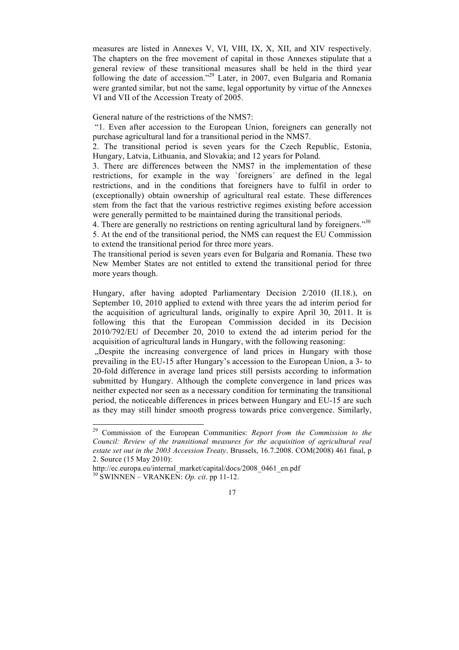measures are listed in Annexes V, VI, VIII, IX, X, XII, and XIV respectively. The chapters on the free movement of capital in those Annexes stipulate that a general review of these transitional measures shall be held in the third year following the date of accession."<sup>29</sup> Later, in 2007, even Bulgaria and Romania were granted similar, but not the same, legal opportunity by virtue of the Annexes VI and VII of the Accession Treaty of 2005.

General nature of the restrictions of the NMS7:

 "1. Even after accession to the European Union, foreigners can generally not purchase agricultural land for a transitional period in the NMS7.

2. The transitional period is seven years for the Czech Republic, Estonia, Hungary, Latvia, Lithuania, and Slovakia; and 12 years for Poland.

3. There are differences between the NMS7 in the implementation of these restrictions, for example in the way `foreigners´ are defined in the legal restrictions, and in the conditions that foreigners have to fulfil in order to (exceptionally) obtain ownership of agricultural real estate. These differences stem from the fact that the various restrictive regimes existing before accession were generally permitted to be maintained during the transitional periods.

4. There are generally no restrictions on renting agricultural land by foreigners."<sup>30</sup>

5. At the end of the transitional period, the NMS can request the EU Commission to extend the transitional period for three more years.

The transitional period is seven years even for Bulgaria and Romania. These two New Member States are not entitled to extend the transitional period for three more years though.

Hungary, after having adopted Parliamentary Decision 2/2010 (II.18.), on September 10, 2010 applied to extend with three years the ad interim period for the acquisition of agricultural lands, originally to expire April 30, 2011. It is following this that the European Commission decided in its Decision 2010/792/EU of December 20, 2010 to extend the ad interim period for the acquisition of agricultural lands in Hungary, with the following reasoning:

..Despite the increasing convergence of land prices in Hungary with those prevailing in the EU-15 after Hungary's accession to the European Union, a 3- to 20-fold difference in average land prices still persists according to information submitted by Hungary. Although the complete convergence in land prices was neither expected nor seen as a necessary condition for terminating the transitional period, the noticeable differences in prices between Hungary and EU-15 are such as they may still hinder smooth progress towards price convergence. Similarly,

29 Commission of the European Communities: *Report from the Commission to the Council: Review of the transitional measures for the acquisition of agricultural real estate set out in the 2003 Accession Treaty*. Brussels, 16.7.2008. COM(2008) 461 final, p 2. Source (15 May 2010):

http://ec.europa.eu/internal\_market/capital/docs/2008\_0461\_en.pdf 30 SWINNEN – VRANKEN: *Op. cit*. pp 11-12.

<sup>17</sup>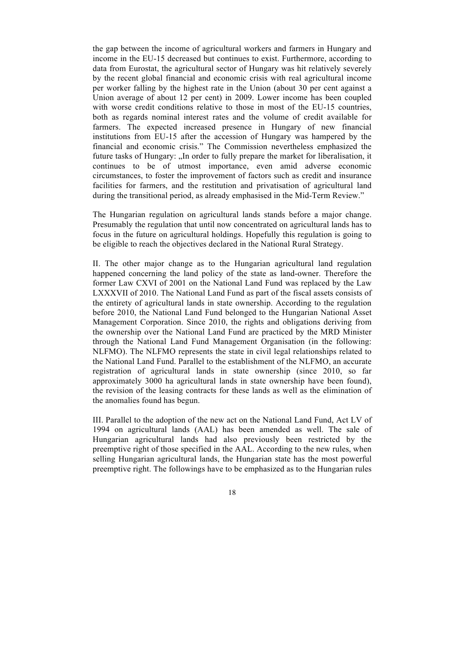the gap between the income of agricultural workers and farmers in Hungary and income in the EU-15 decreased but continues to exist. Furthermore, according to data from Eurostat, the agricultural sector of Hungary was hit relatively severely by the recent global financial and economic crisis with real agricultural income per worker falling by the highest rate in the Union (about 30 per cent against a Union average of about 12 per cent) in 2009. Lower income has been coupled with worse credit conditions relative to those in most of the EU-15 countries, both as regards nominal interest rates and the volume of credit available for farmers. The expected increased presence in Hungary of new financial institutions from EU-15 after the accession of Hungary was hampered by the financial and economic crisis." The Commission nevertheless emphasized the future tasks of Hungary: "In order to fully prepare the market for liberalisation, it continues to be of utmost importance, even amid adverse economic circumstances, to foster the improvement of factors such as credit and insurance facilities for farmers, and the restitution and privatisation of agricultural land during the transitional period, as already emphasised in the Mid-Term Review."

The Hungarian regulation on agricultural lands stands before a major change. Presumably the regulation that until now concentrated on agricultural lands has to focus in the future on agricultural holdings. Hopefully this regulation is going to be eligible to reach the objectives declared in the National Rural Strategy.

II. The other major change as to the Hungarian agricultural land regulation happened concerning the land policy of the state as land-owner. Therefore the former Law CXVI of 2001 on the National Land Fund was replaced by the Law LXXXVII of 2010. The National Land Fund as part of the fiscal assets consists of the entirety of agricultural lands in state ownership. According to the regulation before 2010, the National Land Fund belonged to the Hungarian National Asset Management Corporation. Since 2010, the rights and obligations deriving from the ownership over the National Land Fund are practiced by the MRD Minister through the National Land Fund Management Organisation (in the following: NLFMO). The NLFMO represents the state in civil legal relationships related to the National Land Fund. Parallel to the establishment of the NLFMO, an accurate registration of agricultural lands in state ownership (since 2010, so far approximately 3000 ha agricultural lands in state ownership have been found), the revision of the leasing contracts for these lands as well as the elimination of the anomalies found has begun.

III. Parallel to the adoption of the new act on the National Land Fund, Act LV of 1994 on agricultural lands (AAL) has been amended as well. The sale of Hungarian agricultural lands had also previously been restricted by the preemptive right of those specified in the AAL. According to the new rules, when selling Hungarian agricultural lands, the Hungarian state has the most powerful preemptive right. The followings have to be emphasized as to the Hungarian rules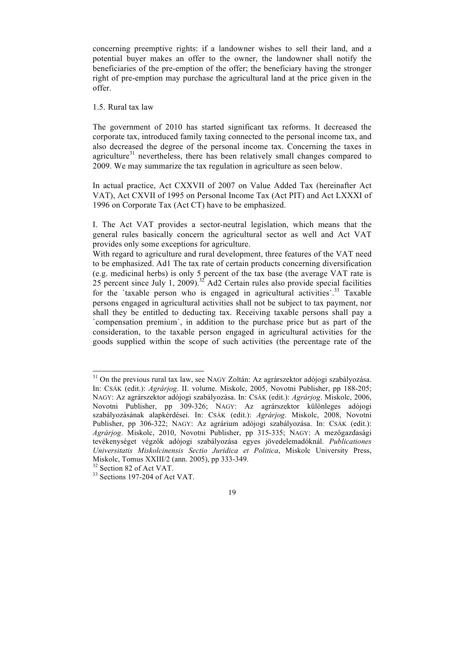concerning preemptive rights: if a landowner wishes to sell their land, and a potential buyer makes an offer to the owner, the landowner shall notify the beneficiaries of the pre-emption of the offer; the beneficiary having the stronger right of pre-emption may purchase the agricultural land at the price given in the offer.

#### 1.5. Rural tax law

The government of 2010 has started significant tax reforms. It decreased the corporate tax, introduced family taxing connected to the personal income tax, and also decreased the degree of the personal income tax. Concerning the taxes in agriculture $31$  nevertheless, there has been relatively small changes compared to 2009. We may summarize the tax regulation in agriculture as seen below.

In actual practice, Act CXXVII of 2007 on Value Added Tax (hereinafter Act VAT), Act CXVII of 1995 on Personal Income Tax (Act PIT) and Act LXXXI of 1996 on Corporate Tax (Act CT) have to be emphasized.

I. The Act VAT provides a sector-neutral legislation, which means that the general rules basically concern the agricultural sector as well and Act VAT provides only some exceptions for agriculture.

With regard to agriculture and rural development, three features of the VAT need to be emphasized. Ad1 The tax rate of certain products concerning diversification (e.g. medicinal herbs) is only 5 percent of the tax base (the average VAT rate is 25 percent since July 1, 2009).<sup>32</sup> Ad2 Certain rules also provide special facilities for the 'taxable person who is engaged in agricultural activities'.<sup>33</sup> Taxable persons engaged in agricultural activities shall not be subject to tax payment, nor shall they be entitled to deducting tax. Receiving taxable persons shall pay a `compensation premium´, in addition to the purchase price but as part of the consideration, to the taxable person engaged in agricultural activities for the goods supplied within the scope of such activities (the percentage rate of the

<sup>&</sup>lt;sup>31</sup> On the previous rural tax law, see NAGY Zoltán: Az agrárszektor adójogi szabályozása. In: CSÁK (edit.): *Agrárjog*. II. volume. Miskolc, 2005, Novotni Publisher, pp 188-205; NAGY: Az agrárszektor adójogi szabályozása. In: CSÁK (edit.): *Agrárjog*. Miskolc, 2006, Novotni Publisher, pp 309-326; NAGY: Az agrárszektor különleges adójogi szabályozásának alapkérdései. In: CSÁK (edit.): *Agrárjog*. Miskolc, 2008, Novotni Publisher, pp 306-322; NAGY: Az agrárium adójogi szabályozása. In: CSÁK (edit.): *Agrárjog*. Miskolc, 2010, Novotni Publisher, pp 315-335; NAGY: A mezőgazdasági tevékenységet végzők adójogi szabályozása egyes jövedelemadóknál. *Publicationes Universitatis Miskolcinensis Sectio Juridica et Politica*, Miskolc University Press, Miskolc, Tomus XXIII/2 (ann. 2005), pp 333-349.<br><sup>32</sup> Section 82 of Act VAT.<br><sup>33</sup> Sections 197-204 of Act VAT.

<sup>19</sup>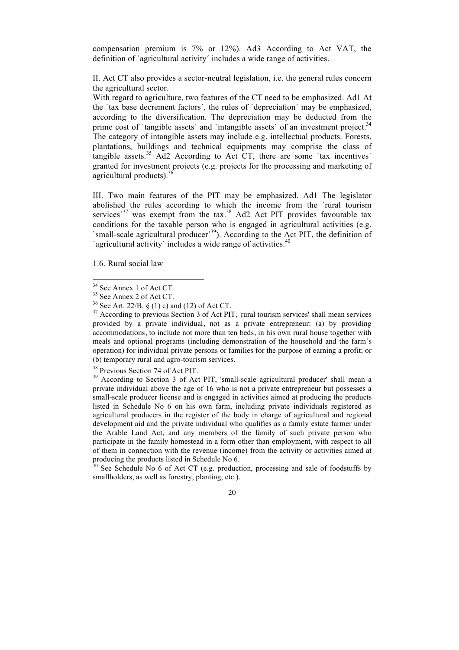compensation premium is 7% or 12%). Ad3 According to Act VAT, the definition of `agricultural activity´ includes a wide range of activities.

II. Act CT also provides a sector-neutral legislation, i.e. the general rules concern the agricultural sector.

With regard to agriculture, two features of the CT need to be emphasized. Ad1 At the `tax base decrement factors´, the rules of `depreciation´ may be emphasized, according to the diversification. The depreciation may be deducted from the prime cost of 'tangible assets' and 'intangible assets' of an investment project.<sup>34</sup> The category of intangible assets may include e.g. intellectual products. Forests, plantations, buildings and technical equipments may comprise the class of tangible assets.<sup>35</sup> Ad2 According to Act CT, there are some 'tax incentives' granted for investment projects (e.g. projects for the processing and marketing of agricultural products). $36$ 

III. Two main features of the PIT may be emphasized. Ad1 The legislator abolished the rules according to which the income from the `rural tourism services<sup> $37$ </sup> was exempt from the tax. $38$  Ad2 Act PIT provides favourable tax. conditions for the taxable person who is engaged in agricultural activities (e.g. `small-scale agricultural producer<sup> $(39)$ </sup>. According to the  $\overline{A}$ ct PIT, the definition of 'agricultural activity' includes a wide range of activities. $40$ 

1.6. Rural social law

 $38$  Previous Section 74 of Act PIT.<br> $39$  According to Section 3 of Act PIT, 'small-scale agricultural producer' shall mean a private individual above the age of 16 who is not a private entrepreneur but possesses a small-scale producer license and is engaged in activities aimed at producing the products listed in Schedule No 6 on his own farm, including private individuals registered as agricultural producers in the register of the body in charge of agricultural and regional development aid and the private individual who qualifies as a family estate farmer under the Arable Land Act, and any members of the family of such private person who participate in the family homestead in a form other than employment, with respect to all of them in connection with the revenue (income) from the activity or activities aimed at producing the products listed in Schedule No 6.

 $40$  See Schedule No 6 of Act CT (e.g. production, processing and sale of foodstuffs by smallholders, as well as forestry, planting, etc.).

<sup>&</sup>lt;sup>34</sup> See Annex 1 of Act CT.<br><sup>35</sup> See Annex 2 of Act CT.<br><sup>36</sup> See Art. 22/B. § (1) c) and (12) of Act CT.<br><sup>37</sup> According to previous Section 3 of Act PIT, 'rural tourism services' shall mean services provided by a private individual, not as a private entrepreneur: (a) by providing accommodations, to include not more than ten beds, in his own rural house together with meals and optional programs (including demonstration of the household and the farm's operation) for individual private persons or families for the purpose of earning a profit; or (b) temporary rural and agro-tourism services.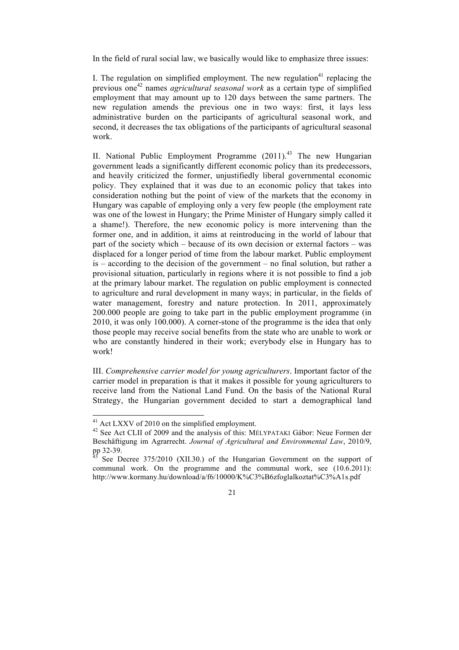In the field of rural social law, we basically would like to emphasize three issues:

I. The regulation on simplified employment. The new regulation<sup>41</sup> replacing the previous one<sup>42</sup> names *agricultural seasonal work* as a certain type of simplified employment that may amount up to 120 days between the same partners. The new regulation amends the previous one in two ways: first, it lays less administrative burden on the participants of agricultural seasonal work, and second, it decreases the tax obligations of the participants of agricultural seasonal work.

II. National Public Employment Programme  $(2011)^{43}$  The new Hungarian government leads a significantly different economic policy than its predecessors, and heavily criticized the former, unjustifiedly liberal governmental economic policy. They explained that it was due to an economic policy that takes into consideration nothing but the point of view of the markets that the economy in Hungary was capable of employing only a very few people (the employment rate was one of the lowest in Hungary; the Prime Minister of Hungary simply called it a shame!). Therefore, the new economic policy is more intervening than the former one, and in addition, it aims at reintroducing in the world of labour that part of the society which – because of its own decision or external factors – was displaced for a longer period of time from the labour market. Public employment is – according to the decision of the government – no final solution, but rather a provisional situation, particularly in regions where it is not possible to find a job at the primary labour market. The regulation on public employment is connected to agriculture and rural development in many ways; in particular, in the fields of water management, forestry and nature protection. In 2011, approximately 200.000 people are going to take part in the public employment programme (in 2010, it was only 100.000). A corner-stone of the programme is the idea that only those people may receive social benefits from the state who are unable to work or who are constantly hindered in their work; everybody else in Hungary has to work!

III. *Comprehensive carrier model for young agriculturers*. Important factor of the carrier model in preparation is that it makes it possible for young agriculturers to receive land from the National Land Fund. On the basis of the National Rural Strategy, the Hungarian government decided to start a demographical land

<sup>&</sup>lt;sup>41</sup> Act LXXV of 2010 on the simplified employment.<br><sup>42</sup> See Act CLII of 2009 and the analysis of this: MÉLYPATAKI Gábor: Neue Formen der Beschäftigung im Agrarrecht. *Journal of Agricultural and Environmental Law*, 2010/9,

See Decree  $375/2010$  (XII.30.) of the Hungarian Government on the support of communal work. On the programme and the communal work, see (10.6.2011): http://www.kormany.hu/download/a/f6/10000/K%C3%B6zfoglalkoztat%C3%A1s.pdf

<sup>21</sup>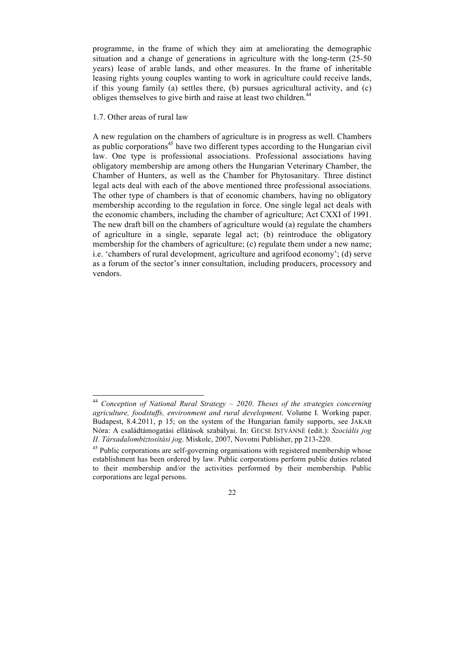programme, in the frame of which they aim at ameliorating the demographic situation and a change of generations in agriculture with the long-term (25-50 years) lease of arable lands, and other measures. In the frame of inheritable leasing rights young couples wanting to work in agriculture could receive lands, if this young family (a) settles there, (b) pursues agricultural activity, and (c) obliges themselves to give birth and raise at least two children.<sup>44</sup>

### 1.7. Other areas of rural law

A new regulation on the chambers of agriculture is in progress as well. Chambers as public corporations<sup> $45$ </sup> have two different types according to the Hungarian civil law. One type is professional associations. Professional associations having obligatory membership are among others the Hungarian Veterinary Chamber, the Chamber of Hunters, as well as the Chamber for Phytosanitary. Three distinct legal acts deal with each of the above mentioned three professional associations. The other type of chambers is that of economic chambers, having no obligatory membership according to the regulation in force. One single legal act deals with the economic chambers, including the chamber of agriculture; Act CXXI of 1991. The new draft bill on the chambers of agriculture would (a) regulate the chambers of agriculture in a single, separate legal act; (b) reintroduce the obligatory membership for the chambers of agriculture; (c) regulate them under a new name; i.e. 'chambers of rural development, agriculture and agrifood economy'; (d) serve as a forum of the sector's inner consultation, including producers, processory and vendors.

<sup>44</sup> *Conception of National Rural Strategy – 2020*. *Theses of the strategies concerning agriculture, foodstuffs, environment and rural development*. Volume I. Working paper. Budapest, 8.4.2011, p 15; on the system of the Hungarian family supports, see JAKAB Nóra: A családtámogatási ellátások szabályai. In: GECSE ISTVÁNNÉ (edit.): *Szociális jog II. Társadalombiztosítási jog*. Miskolc, 2007, Novotni Publisher, pp 213-220.

<sup>&</sup>lt;sup>45</sup> Public corporations are self-governing organisations with registered membership whose establishment has been ordered by law. Public corporations perform public duties related to their membership and/or the activities performed by their membership. Public corporations are legal persons.

<sup>22</sup>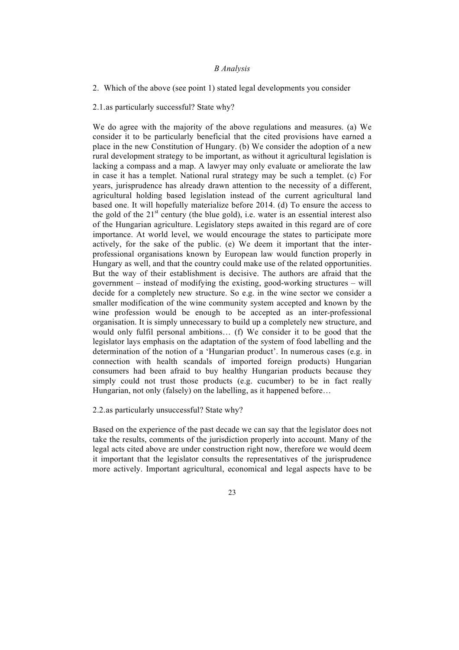#### *B Analysis*

2. Which of the above (see point 1) stated legal developments you consider

2.1.as particularly successful? State why?

We do agree with the majority of the above regulations and measures. (a) We consider it to be particularly beneficial that the cited provisions have earned a place in the new Constitution of Hungary. (b) We consider the adoption of a new rural development strategy to be important, as without it agricultural legislation is lacking a compass and a map. A lawyer may only evaluate or ameliorate the law in case it has a templet. National rural strategy may be such a templet. (c) For years, jurisprudence has already drawn attention to the necessity of a different, agricultural holding based legislation instead of the current agricultural land based one. It will hopefully materialize before 2014. (d) To ensure the access to the gold of the  $21<sup>st</sup>$  century (the blue gold), i.e. water is an essential interest also of the Hungarian agriculture. Legislatory steps awaited in this regard are of core importance. At world level, we would encourage the states to participate more actively, for the sake of the public. (e) We deem it important that the interprofessional organisations known by European law would function properly in Hungary as well, and that the country could make use of the related opportunities. But the way of their establishment is decisive. The authors are afraid that the government – instead of modifying the existing, good-working structures – will decide for a completely new structure. So e.g. in the wine sector we consider a smaller modification of the wine community system accepted and known by the wine profession would be enough to be accepted as an inter-professional organisation. It is simply unnecessary to build up a completely new structure, and would only fulfil personal ambitions… (f) We consider it to be good that the legislator lays emphasis on the adaptation of the system of food labelling and the determination of the notion of a 'Hungarian product'. In numerous cases (e.g. in connection with health scandals of imported foreign products) Hungarian consumers had been afraid to buy healthy Hungarian products because they simply could not trust those products (e.g. cucumber) to be in fact really Hungarian, not only (falsely) on the labelling, as it happened before...

2.2.as particularly unsuccessful? State why?

Based on the experience of the past decade we can say that the legislator does not take the results, comments of the jurisdiction properly into account. Many of the legal acts cited above are under construction right now, therefore we would deem it important that the legislator consults the representatives of the jurisprudence more actively. Important agricultural, economical and legal aspects have to be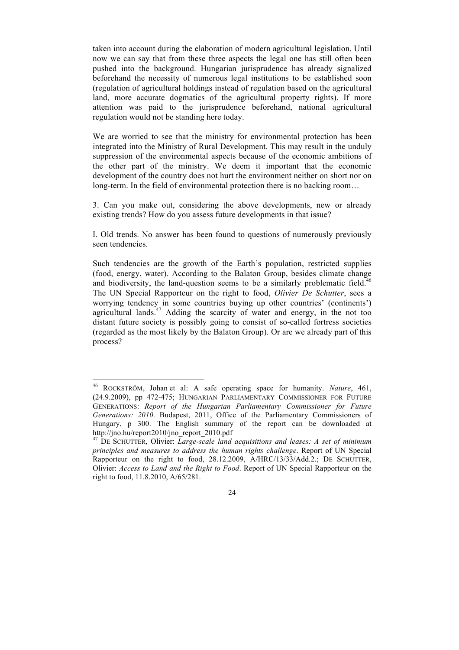taken into account during the elaboration of modern agricultural legislation. Until now we can say that from these three aspects the legal one has still often been pushed into the background. Hungarian jurisprudence has already signalized beforehand the necessity of numerous legal institutions to be established soon (regulation of agricultural holdings instead of regulation based on the agricultural land, more accurate dogmatics of the agricultural property rights). If more attention was paid to the jurisprudence beforehand, national agricultural regulation would not be standing here today.

We are worried to see that the ministry for environmental protection has been integrated into the Ministry of Rural Development. This may result in the unduly suppression of the environmental aspects because of the economic ambitions of the other part of the ministry. We deem it important that the economic development of the country does not hurt the environment neither on short nor on long-term. In the field of environmental protection there is no backing room…

3. Can you make out, considering the above developments, new or already existing trends? How do you assess future developments in that issue?

I. Old trends. No answer has been found to questions of numerously previously seen tendencies.

Such tendencies are the growth of the Earth's population, restricted supplies (food, energy, water). According to the Balaton Group, besides climate change and biodiversity, the land-question seems to be a similarly problematic field.<sup>46</sup> The UN Special Rapporteur on the right to food, *Olivier De Schutter*, sees a worrying tendency in some countries buying up other countries' (continents') agricultural lands.<sup>47</sup> Adding the scarcity of water and energy, in the not too distant future society is possibly going to consist of so-called fortress societies (regarded as the most likely by the Balaton Group). Or are we already part of this process?

<sup>46</sup> ROCKSTRÖM, Johan et al: A safe operating space for humanity. *Nature*, 461, (24.9.2009), pp 472-475; HUNGARIAN PARLIAMENTARY COMMISSIONER FOR FUTURE GENERATIONS: *Report of the Hungarian Parliamentary Commissioner for Future Generations: 2010*. Budapest, 2011, Office of the Parliamentary Commissioners of Hungary, p 300. The English summary of the report can be downloaded at http://jno.hu/report2010/jno\_report\_2010.pdf

<sup>47</sup> DE SCHUTTER, Olivier: *Large-scale land acquisitions and leases: A set of minimum principles and measures to address the human rights challenge*. Report of UN Special Rapporteur on the right to food, 28.12.2009, A/HRC/13/33/Add.2.; DE SCHUTTER, Olivier: *Access to Land and the Right to Food*. Report of UN Special Rapporteur on the right to food, 11.8.2010, A/65/281.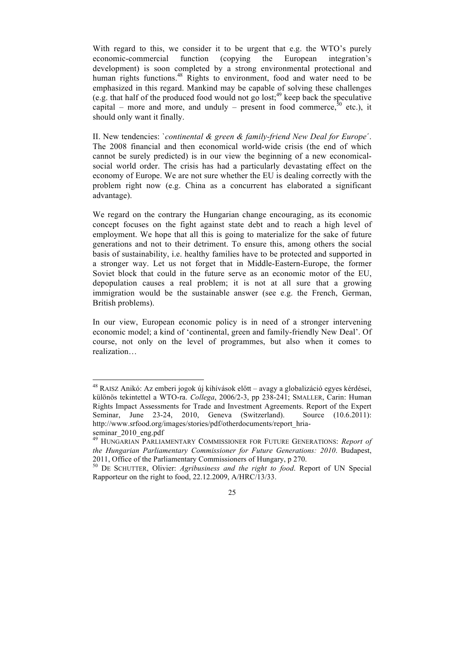With regard to this, we consider it to be urgent that e.g. the WTO's purely economic-commercial function (copying the European integration's development) is soon completed by a strong environmental protectional and human rights functions.<sup>48</sup> Rights to environment, food and water need to be emphasized in this regard. Mankind may be capable of solving these challenges (e.g. that half of the produced food would not go lost;  $49$  keep back the speculative capital – more and more, and unduly – present in food commerce,  $50$  etc.), it should only want it finally.

II. New tendencies: `*continental & green & family-friend New Deal for Europe*´. The 2008 financial and then economical world-wide crisis (the end of which cannot be surely predicted) is in our view the beginning of a new economicalsocial world order. The crisis has had a particularly devastating effect on the economy of Europe. We are not sure whether the EU is dealing correctly with the problem right now (e.g. China as a concurrent has elaborated a significant advantage).

We regard on the contrary the Hungarian change encouraging, as its economic concept focuses on the fight against state debt and to reach a high level of employment. We hope that all this is going to materialize for the sake of future generations and not to their detriment. To ensure this, among others the social basis of sustainability, i.e. healthy families have to be protected and supported in a stronger way. Let us not forget that in Middle-Eastern-Europe, the former Soviet block that could in the future serve as an economic motor of the EU, depopulation causes a real problem; it is not at all sure that a growing immigration would be the sustainable answer (see e.g. the French, German, British problems).

In our view, European economic policy is in need of a stronger intervening economic model; a kind of 'continental, green and family-friendly New Deal'. Of course, not only on the level of programmes, but also when it comes to realization…

48 RAISZ Anikó: Az emberi jogok új kihívások előtt – avagy a globalizáció egyes kérdései, különös tekintettel a WTO-ra. *Collega*, 2006/2-3, pp 238-241; SMALLER, Carin: Human Rights Impact Assessments for Trade and Investment Agreements. Report of the Expert Seminar, June 23-24, 2010, Geneva (Switzerland). Source (10.6.2011): http://www.srfood.org/images/stories/pdf/otherdocuments/report\_hriaseminar 2010 eng.pdf

<sup>49</sup> HUNGARIAN PARLIAMENTARY COMMISSIONER FOR FUTURE GENERATIONS: *Report of the Hungarian Parliamentary Commissioner for Future Generations: 2010*. Budapest, 2011, Office of the Parliamentary Commissioners of Hungary, p 270.

<sup>50</sup> DE SCHUTTER, Olivier: *Agribusiness and the right to food*. Report of UN Special Rapporteur on the right to food, 22.12.2009, A/HRC/13/33.

<sup>25</sup>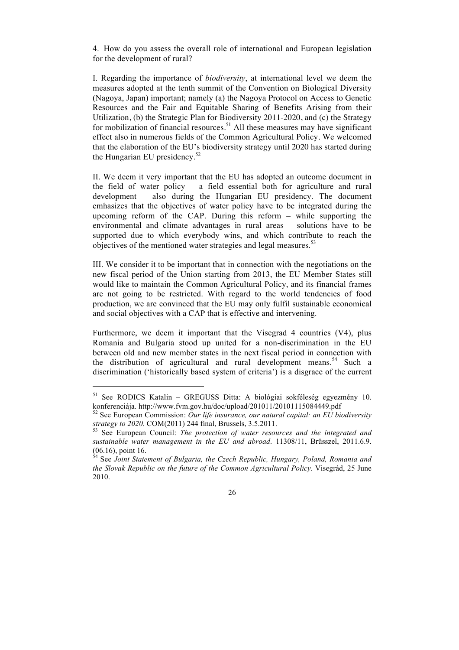4. How do you assess the overall role of international and European legislation for the development of rural?

I. Regarding the importance of *biodiversity*, at international level we deem the measures adopted at the tenth summit of the Convention on Biological Diversity (Nagoya, Japan) important; namely (a) the Nagoya Protocol on Access to Genetic Resources and the Fair and Equitable Sharing of Benefits Arising from their Utilization, (b) the Strategic Plan for Biodiversity 2011-2020, and (c) the Strategy for mobilization of financial resources.<sup>51</sup> All these measures may have significant effect also in numerous fields of the Common Agricultural Policy. We welcomed that the elaboration of the EU's biodiversity strategy until 2020 has started during the Hungarian EU presidency. $52$ 

II. We deem it very important that the EU has adopted an outcome document in the field of water policy – a field essential both for agriculture and rural development – also during the Hungarian EU presidency. The document emhasizes that the objectives of water policy have to be integrated during the upcoming reform of the CAP. During this reform – while supporting the environmental and climate advantages in rural areas – solutions have to be supported due to which everybody wins, and which contribute to reach the objectives of the mentioned water strategies and legal measures.<sup>53</sup>

III. We consider it to be important that in connection with the negotiations on the new fiscal period of the Union starting from 2013, the EU Member States still would like to maintain the Common Agricultural Policy, and its financial frames are not going to be restricted. With regard to the world tendencies of food production, we are convinced that the EU may only fulfil sustainable economical and social objectives with a CAP that is effective and intervening.

Furthermore, we deem it important that the Visegrad 4 countries (V4), plus Romania and Bulgaria stood up united for a non-discrimination in the EU between old and new member states in the next fiscal period in connection with the distribution of agricultural and rural development means.<sup>54</sup> Such a discrimination ('historically based system of criteria') is a disgrace of the current

 $\overline{a}$ 

<sup>51</sup> See RODICS Katalin – GREGUSS Ditta: A biológiai sokféleség egyezmény 10. konferenciája. http://www.fvm.gov.hu/doc/upload/201011/20101115084449.pdf

<sup>52</sup> See European Commission: *Our life insurance, our natural capital: an EU biodiversity strategy to 2020*. COM(2011) 244 final, Brussels, 3.5.2011. 53 See European Council: *The protection of water resources and the integrated and* 

*sustainable water management in the EU and abroad*. 11308/11, Brüsszel, 2011.6.9. (06.16), point 16.

<sup>54</sup> See *Joint Statement of Bulgaria, the Czech Republic, Hungary, Poland, Romania and the Slovak Republic on the future of the Common Agricultural Policy*. Visegrád, 25 June 2010.

<sup>26</sup>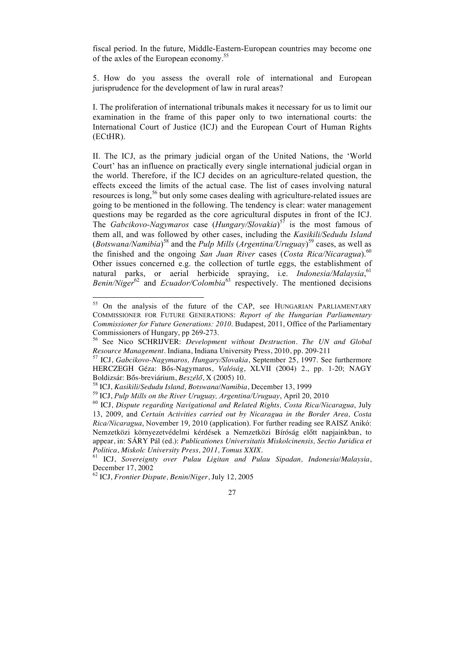fiscal period. In the future, Middle-Eastern-European countries may become one of the axles of the European economy.55

5. How do you assess the overall role of international and European jurisprudence for the development of law in rural areas?

I. The proliferation of international tribunals makes it necessary for us to limit our examination in the frame of this paper only to two international courts: the International Court of Justice (ICJ) and the European Court of Human Rights (ECtHR).

II. The ICJ, as the primary judicial organ of the United Nations, the 'World Court' has an influence on practically every single international judicial organ in the world. Therefore, if the ICJ decides on an agriculture-related question, the effects exceed the limits of the actual case. The list of cases involving natural resources is long,<sup>56</sup> but only some cases dealing with agriculture-related issues are going to be mentioned in the following. The tendency is clear: water management questions may be regarded as the core agricultural disputes in front of the ICJ. The *Gabcikovo-Nagymaros* case (*Hungary/Slovakia*) 57 is the most famous of them all, and was followed by other cases, including the *Kasikili/Sedudu Island* (*Botswana/Namibia*)<sup>58</sup> and the *Pulp Mills* (*Argentina/Uruguay*)<sup>59</sup> cases, as well as the finished and the ongoing *San Juan River* cases (*Costa Rica/Nicaragua*).<sup>60</sup> Other issues concerned e.g. the collection of turtle eggs, the establishment of natural parks, or aerial herbicide spraying, i.e. *Indonesia/Malaysia*,<sup>61</sup> *Benin/Niger*62 and *Ecuador/Colombia*63 respectively. The mentioned decisions

<sup>&</sup>lt;sup>55</sup> On the analysis of the future of the CAP, see HUNGARIAN PARLIAMENTARY COMMISSIONER FOR FUTURE GENERATIONS: *Report of the Hungarian Parliamentary Commissioner for Future Generations: 2010*. Budapest, 2011, Office of the Parliamentary

Commissioners of Hungary, pp 269-273.<br><sup>56</sup> See Nico SCHRIJVER: *Development without Destruction. The UN and Global Resource Management.* Indiana, Indiana University Press, 2010, pp. 209-211

<sup>&</sup>lt;sup>57</sup> ICJ, *Gabcikovo-Nagymaros, Hungary/Slovakia*, September 25, 1997. See furthermore HERCZEGH Géza: Bős-Nagymaros, *Valóság*, XLVII (2004) 2., pp. 1-20; NAGY Boldizsár: Bős-breviárium, *Beszélő*, X (2005) 10.<br><sup>58</sup> ICJ, *Kasikili/Sedudu Island, Botswana/Namibia*, December 13, 1999<br><sup>59</sup> ICJ, *Pulp Mills on the River Uruguay, Argentina/Uruguay*, April 20, 2010<br><sup>60</sup> ICJ, *Dispute r* 

<sup>13, 2009,</sup> and *Certain Activities carried out by Nicaragua in the Border Area, Costa Rica/Nicaragua*, November 19, 2010 (application). For further reading see RAISZ Anikó: Nemzetközi környezetvédelmi kérdések a Nemzetközi Bíróság előtt napjainkban, to appear, in: SÁRY Pál (ed.): *Publicationes Universitatis Miskolcinensis, Sectio Juridica et Politica*, *Miskolc University Press, 2011, Tomus XXIX.* <sup>61</sup> ICJ, *Sovereignty over Pulau Ligitan and Pulau Sipadan, Indonesia/Malaysia*,

December 17, 2002<br><sup>62</sup> ICJ, *Frontier Dispute, Benin/Niger*, July 12, 2005

<sup>27</sup>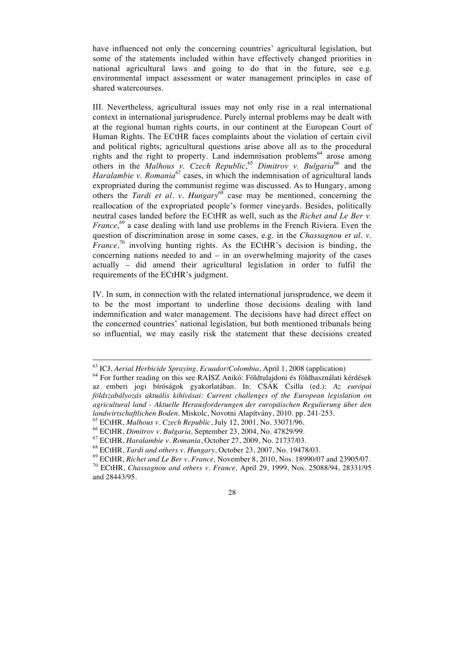have influenced not only the concerning countries' agricultural legislation, but some of the statements included within have effectively changed priorities in national agricultural laws and going to do that in the future, see e.g. environmental impact assessment or water management principles in case of shared watercourses.

III. Nevertheless, agricultural issues may not only rise in a real international context in international jurisprudence. Purely internal problems may be dealt with at the regional human rights courts, in our continent at the European Court of Human Rights. The ECtHR faces complaints about the violation of certain civil and political rights; agricultural questions arise above all as to the procedural rights and the right to property. Land indemnisation problems<sup>64</sup> arose among others in the *Malhous v. Czech Republic*,<sup>65</sup> *Dimitrov v. Bulgaria*<sup>66</sup> and the *Haralambie v. Romania*<sup>67</sup> cases, in which the indemnisation of agricultural lands expropriated during the communist regime was discussed. As to Hungary, among others the *Tardi et al. v. Hungary*<sup>68</sup> case may be mentioned, concerning the reallocation of the expropriated people's former vineyards. Besides, politically neutral cases landed before the ECtHR as well, such as the *Richet and Le Ber v. France*,<sup>69</sup> a case dealing with land use problems in the French Riviera. Even the question of discrimination arose in some cases, e.g. in the *Chassagnou et al. v. France*,<sup>70</sup> involving hunting rights. As the ECtHR's decision is binding, the concerning nations needed to and – in an overwhelming majority of the cases actually – did amend their agricultural legislation in order to fulfil the requirements of the ECtHR's judgment.

IV. In sum, in connection with the related international jurisprudence, we deem it to be the most important to underline those decisions dealing with land indemnification and water management. The decisions have had direct effect on the concerned countries' national legislation, but both mentioned tribunals being so influential, we may easily risk the statement that these decisions created

<sup>&</sup>lt;sup>63</sup> ICJ, *Aerial Herbicide Spraying, Ecuador/Colombia*, April 1, 2008 (application)<br><sup>64</sup> For further reading on this see RAISZ Anikó: Földtulaidoni és földhasználati kérdések

az emberi jogi bíróságok gyakorlatában. In: CSÁK Csilla (ed.): *Az európai földszabályozás aktuális kihívásai: Current challenges of the European legislation on agricultural land - Aktuelle Herausforderungen der europäischen Regulierung über den*  landwirtschaftlichen Boden. Miskolc, Novotni Alapítvány, 2010. pp. 241-253.<br>
<sup>65</sup> ECtHR, *Malhous v. Czech Republic*, July 12, 2001, No. 33071/96.<br>
<sup>66</sup> ECtHR, *Dimitrov v. Bulgaria*, September 23, 2004, No. 47829/99.<br>
<sup>6</sup>

and 28443/95.

<sup>28</sup>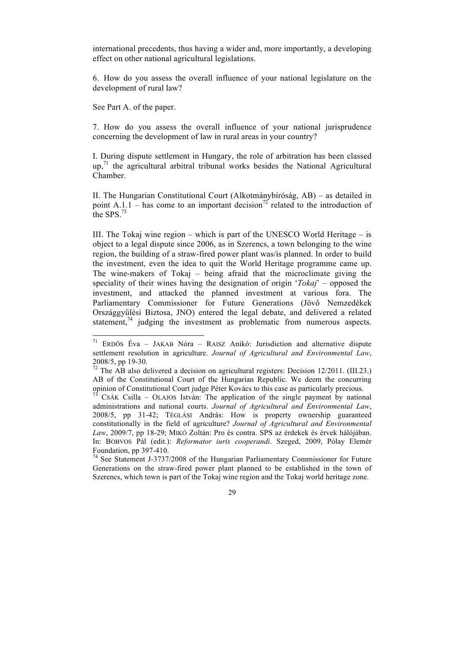international precedents, thus having a wider and, more importantly, a developing effect on other national agricultural legislations.

6. How do you assess the overall influence of your national legislature on the development of rural law?

See Part A. of the paper.

7. How do you assess the overall influence of your national jurisprudence concerning the development of law in rural areas in your country?

I. During dispute settlement in Hungary, the role of arbitration has been classed  $up<sub>1</sub><sup>71</sup>$  the agricultural arbitral tribunal works besides the National Agricultural Chamber.

II. The Hungarian Constitutional Court (Alkotmánybíróság, AB) – as detailed in point A.1.1 – has come to an important decision<sup>72</sup> related to the introduction of the SPS. $^{73}$ 

III. The Tokaj wine region – which is part of the UNESCO World Heritage – is object to a legal dispute since 2006, as in Szerencs, a town belonging to the wine region, the building of a straw-fired power plant was/is planned. In order to build the investment, even the idea to quit the World Heritage programme came up. The wine-makers of Tokaj – being afraid that the microclimate giving the speciality of their wines having the designation of origin '*Tokaj*' – opposed the investment, and attacked the planned investment at various fora. The Parliamentary Commissioner for Future Generations (Jövő Nemzedékek Országgyűlési Biztosa, JNO) entered the legal debate, and delivered a related statement, $^{74}$  judging the investment as problematic from numerous aspects.

71 ERDŐS Éva – JAKAB Nóra – RAISZ Anikó: Jurisdiction and alternative dispute settlement resolution in agriculture. *Journal of Agricultural and Environmental Law*, 2008/5, pp 19-30. 72 The AB also delivered a decision on agricultural registers: Decision 12/2011. (III.23.)

AB of the Constitutional Court of the Hungarian Republic. We deem the concurring opinion of Constitutional Court judge Péter Kovács to this case as particularly precious.

<sup>&</sup>lt;sup>73</sup> CSÁK Csilla – OLAJOS István: The application of the single payment by national administrations and national courts. *Journal of Agricultural and Environmental Law*, 2008/5, pp 31-42; TÉGLÁSI András: How is property ownership guaranteed constitutionally in the field of agriculture? *Journal of Agricultural and Environmental Law*, 2009/7, pp 18-29; MIKÓ Zoltán: Pro és contra. SPS az érdekek és érvek hálójában. In: BOBVOS Pál (edit.): *Reformator iuris cooperandi*. Szeged, 2009, Pólay Elemér Foundation, pp 397-410.<br><sup>74</sup> See Statement J-3737/2008 of the Hungarian Parliamentary Commissioner for Future

Generations on the straw-fired power plant planned to be established in the town of Szerencs, which town is part of the Tokaj wine region and the Tokaj world heritage zone.

<sup>29</sup>